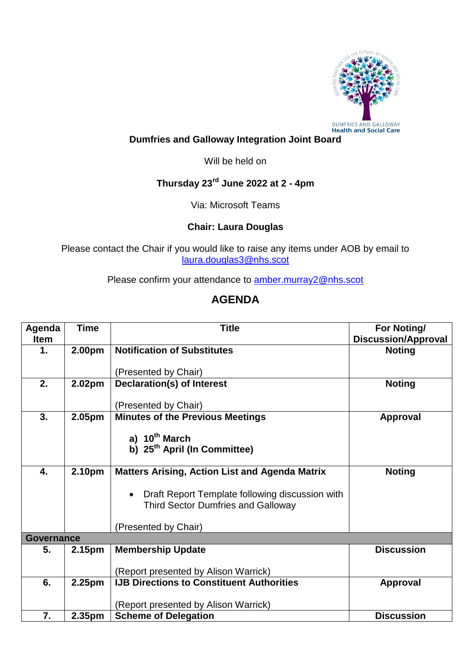

## **Dumfries and Galloway Integration Joint Board**

Will be held on

## **Thursday 23rd June 2022 at 2 - 4pm**

Via: Microsoft Teams

## **Chair: Laura Douglas**

Please contact the Chair if you would like to raise any items under AOB by email to [laura.douglas3@nhs.scot](mailto:laura.douglas3@nhs.scot)

Please confirm your attendance to **amber.murray2@nhs.scot** 

## **AGENDA**

| Agenda            | <b>Time</b>        | <b>Title</b>                                          | For Noting/                |  |  |
|-------------------|--------------------|-------------------------------------------------------|----------------------------|--|--|
| <b>Item</b>       |                    |                                                       | <b>Discussion/Approval</b> |  |  |
| $\mathbf 1$ .     | 2.00 <sub>pm</sub> | <b>Notification of Substitutes</b>                    | <b>Noting</b>              |  |  |
|                   |                    |                                                       |                            |  |  |
|                   |                    | (Presented by Chair)                                  |                            |  |  |
| 2.                | 2.02pm             | Declaration(s) of Interest                            | <b>Noting</b>              |  |  |
|                   |                    |                                                       |                            |  |  |
|                   |                    | (Presented by Chair)                                  |                            |  |  |
| 3.                | 2.05pm             | <b>Minutes of the Previous Meetings</b>               | <b>Approval</b>            |  |  |
|                   |                    | a) 10 <sup>th</sup> March                             |                            |  |  |
|                   |                    | b) 25 <sup>th</sup> April (In Committee)              |                            |  |  |
|                   |                    |                                                       |                            |  |  |
| 4.                | 2.10pm             | <b>Matters Arising, Action List and Agenda Matrix</b> | <b>Noting</b>              |  |  |
|                   |                    |                                                       |                            |  |  |
|                   |                    | Draft Report Template following discussion with       |                            |  |  |
|                   |                    | <b>Third Sector Dumfries and Galloway</b>             |                            |  |  |
|                   |                    |                                                       |                            |  |  |
|                   |                    | (Presented by Chair)                                  |                            |  |  |
| <b>Governance</b> |                    |                                                       |                            |  |  |
| 5.                | 2.15 <sub>pm</sub> | <b>Membership Update</b>                              | <b>Discussion</b>          |  |  |
|                   |                    |                                                       |                            |  |  |
|                   |                    | (Report presented by Alison Warrick)                  |                            |  |  |
| 6.                | 2.25pm             | <b>IJB Directions to Constituent Authorities</b>      | <b>Approval</b>            |  |  |
|                   |                    |                                                       |                            |  |  |
|                   |                    | (Report presented by Alison Warrick)                  |                            |  |  |
| 7.                | 2.35 <sub>pm</sub> | <b>Scheme of Delegation</b>                           | <b>Discussion</b>          |  |  |